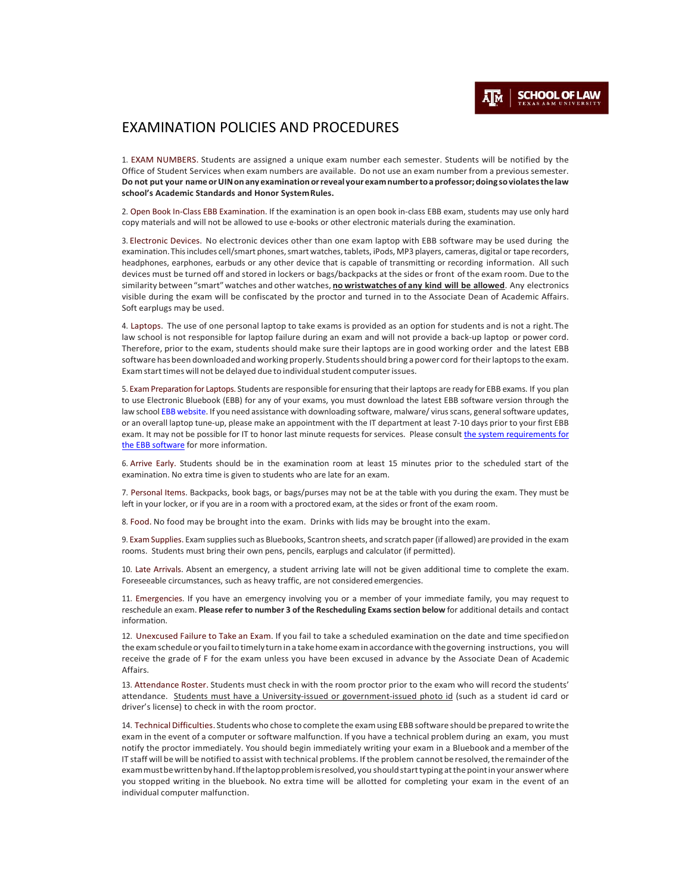## EXAMINATION POLICIES AND PROCEDURES

1. EXAM NUMBERS. Students are assigned a unique exam number each semester. Students will be notified by the Office of Student Services when exam numbers are available. Do not use an exam number from a previous semester. **Do not put your name or UIN on any examination or revealyourexamnumberto a professor; doing so violates thelaw school's Academic Standards and Honor SystemRules.**

2. Open Book In-Class EBB Examination. If the examination is an open book in-class EBB exam, students may use only hard copy materials and will not be allowed to use e-books or other electronic materials during the examination.

3. Electronic Devices. No electronic devices other than one exam laptop with EBB software may be used during the examination. This includes cell/smart phones, smart watches, tablets, iPods, MP3 players, cameras, digital or tape recorders, headphones, earphones, earbuds or any other device that is capable of transmitting or recording information. All such devices must be turned off and stored in lockers or bags/backpacks at the sides or front of the exam room. Due to the similarity between"smart"watches and other watches, **no wristwatches of any kind will be allowed**. Any electronics visible during the exam will be confiscated by the proctor and turned in to the Associate Dean of Academic Affairs. Soft earplugs may be used.

4. Laptops. The use of one personal laptop to take exams is provided as an option for students and is not a right.The law school is not responsible for laptop failure during an exam and will not provide a back-up laptop or power cord. Therefore, prior to the exam, students should make sure their laptops are in good working order and the latest EBB software has been downloaded and working properly. Students should bring a power cord for their laptops to the exam. Exam start times will not be delayed due to individual student computer issues.

5. Exam Preparation for Laptops. Students are responsible for ensuring that their laptops are ready for EBB exams. If you plan to use Electronic Bluebook (EBB) for any of your exams, you must download the latest EBB software version through the law school [EBB website.](https://ebblaw.tamu.edu/EBBLogon.aspx) If you need assistance with downloading software, malware/ virus scans, general software updates, or an overall laptop tune-up, please make an appointment with the IT department at least 7-10 days prior to your first EBB exam. It may not be possible for IT to honor last minute requests for services. Please consult the system requirements for [the EBB software](https://law.tamu.edu/current-students/registrar-student-services/exam-information-policies) for more information.

6. Arrive Early. Students should be in the examination room at least 15 minutes prior to the scheduled start of the examination. No extra time is given to students who are late for an exam.

7. Personal Items. Backpacks, book bags, or bags/purses may not be at the table with you during the exam. They must be left in your locker, or if you are in a room with a proctored exam, at the sides or front of the exam room.

8. Food. No food may be brought into the exam. Drinks with lids may be brought into the exam.

9. ExamSupplies. Exam suppliessuch as Bluebooks, Scantron sheets, and scratch paper(if allowed) are provided in the exam rooms. Students must bring their own pens, pencils, earplugs and calculator (if permitted).

10. Late Arrivals. Absent an emergency, a student arriving late will not be given additional time to complete the exam. Foreseeable circumstances, such as heavy traffic, are not considered emergencies.

11. Emergencies. If you have an emergency involving you or a member of your immediate family, you may request to reschedule an exam. **Please refer to number 3 of the Rescheduling Examssection below** for additional details and contact information.

12. Unexcused Failure to Take an Exam. If you fail to take a scheduled examination on the date and time specifiedon the exam schedule or you fail to timely turn in a take home exam in accordance with the governing instructions, you will receive the grade of F for the exam unless you have been excused in advance by the Associate Dean of Academic Affairs.

13. Attendance Roster. Students must check in with the room proctor prior to the exam who will record the students' attendance. Students must have a University-issued or government-issued photo id (such as a student id card or driver's license) to check in with the room proctor.

14. Technical Difficulties. Students who chose to complete the examusing EBB software should be prepared towrite the exam in the event of a computer or software malfunction. If you have a technical problem during an exam, you must notify the proctor immediately. You should begin immediately writing your exam in a Bluebook and a member ofthe IT staff will be will be notified to assist with technical problems. If the problem cannot be resolved, the remainder of the exammustbewrittenbyhand.Ifthelaptopproblemisresolved,you should start typing at thepointinyour answerwhere you stopped writing in the bluebook. No extra time will be allotted for completing your exam in the event of an individual computer malfunction.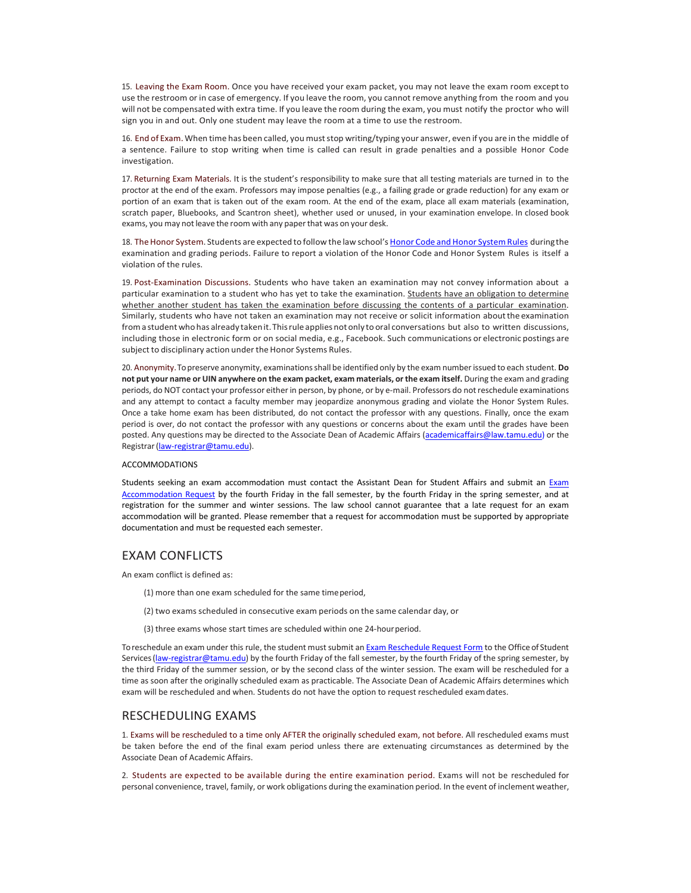15. Leaving the Exam Room. Once you have received your exam packet, you may not leave the exam room exceptto use the restroom or in case of emergency. If you leave the room, you cannot remove anything from the room and you will not be compensated with extra time. If you leave the room during the exam, you must notify the proctor who will sign you in and out. Only one student may leave the room at a time to use the restroom.

16. End of Exam.When time has been called, you muststop writing/typing your answer, even if you are in the middle of a sentence. Failure to stop writing when time is called can result in grade penalties and a possible Honor Code investigation.

17. Returning Exam Materials. It is the student's responsibility to make sure that all testing materials are turned in to the proctor at the end of the exam. Professors may impose penalties (e.g., a failing grade or grade reduction) for any exam or portion of an exam that is taken out of the exam room. At the end of the exam, place all exam materials (examination, scratch paper, Bluebooks, and Scantron sheet), whether used or unused, in your examination envelope. In closed book exams, you may not leave the room with any paper that was on your desk.

18. The Honor System. Students are expected to follow the law school's Honor Code and Honor System Rules during the examination and grading periods. Failure to report a violation of the Honor Code and Honor System Rules is itself a violation of the rules.

19. Post-Examination Discussions. Students who have taken an examination may not convey information about a particular examination to a student who has yet to take the examination. Students have an obligation to determine whether another student has taken the examination before discussing the contents of a particular examination. Similarly, students who have not taken an examination may not receive or solicit information aboutthe examination froma student who has already takenit.Thisrule applies notonly to oral conversations but also to written discussions, including those in electronic form or on social media, e.g., Facebook. Such communications or electronic postings are subject to disciplinary action under the Honor Systems Rules.

20. Anonymity.To preserve anonymity, examinationsshall be identified only by the exam numberissued to each student. **Do not put your name or UIN anywhere on the exam packet, exam materials, or the exam itself.** During the exam and grading periods, do NOT contact your professor either in person, by phone, or by e-mail. Professors do not reschedule examinations and any attempt to contact a faculty member may jeopardize anonymous grading and violate the Honor System Rules. Once a take home exam has been distributed, do not contact the professor with any questions. Finally, once the exam period is over, do not contact the professor with any questions or concerns about the exam until the grades have been posted. Any questions may be directed to the Associate Dean of Academic Affairs (academicaffairs@law.tamu.edu) or the Registrar [\(law-registrar@tamu.edu\)](mailto:law-registrar@tamu.edu).

## ACCOMMODATIONS

Students seeking an exam accommodation must contact the Assistant Dean for Student Affairs and submit an [Exam](http://law.tamu.edu/current-students/student-affairs/accommodations)  [Accommodation Request](http://law.tamu.edu/current-students/student-affairs/accommodations) by the fourth Friday in the fall semester, by the fourth Friday in the spring semester, and at registration for the summer and winter sessions. The law school cannot guarantee that a late request for an exam accommodation will be granted. Please remember that a request for accommodation must be supported by appropriate documentation and must be requested each semester.

## EXAM CONFLICTS

An exam conflict is defined as:

- (1) more than one exam scheduled for the same timeperiod,
- (2) two exams scheduled in consecutive exam periods on the same calendar day, or
- (3) three exams whose start times are scheduled within one 24-hour period.

To reschedule an exam under this rule, the student must submit a[n Exam Reschedule Request Form](https://law.tamu.edu/current-students/registrar-student-services/forms-applications/exam-reschedule-request-form) to the Office of Student Services [\(law-registrar@tamu.edu\)](mailto:law-registrar@tamu.edu) by the fourth Friday of the fall semester, by the fourth Friday of the spring semester, by the third Friday of the summer session, or by the second class of the winter session. The exam will be rescheduled for a time as soon after the originally scheduled exam as practicable. The Associate Dean of Academic Affairs determines which exam will be rescheduled and when. Students do not have the option to request rescheduled examdates.

## RESCHEDULING EXAMS

1. Exams will be rescheduled to a time only AFTER the originally scheduled exam, not before. All rescheduled exams must be taken before the end of the final exam period unless there are extenuating circumstances as determined by the Associate Dean of Academic Affairs.

2. Students are expected to be available during the entire examination period. Exams will not be rescheduled for personal convenience, travel, family, or work obligations during the examination period. In the event of inclement weather,